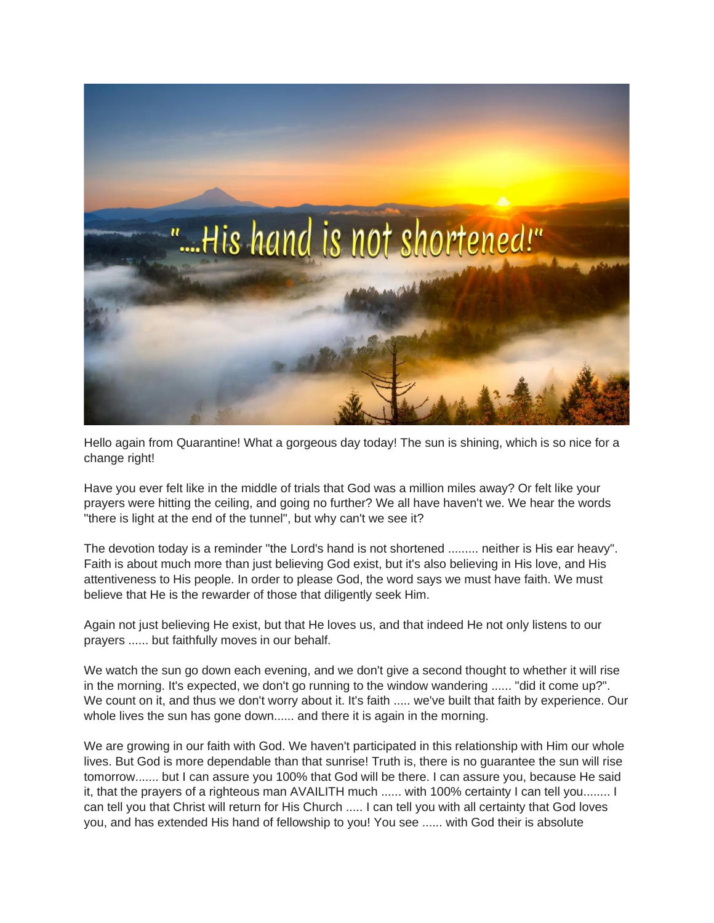

Hello again from Quarantine! What a gorgeous day today! The sun is shining, which is so nice for a change right!

Have you ever felt like in the middle of trials that God was a million miles away? Or felt like your prayers were hitting the ceiling, and going no further? We all have haven't we. We hear the words "there is light at the end of the tunnel", but why can't we see it?

The devotion today is a reminder "the Lord's hand is not shortened ......... neither is His ear heavy". Faith is about much more than just believing God exist, but it's also believing in His love, and His attentiveness to His people. In order to please God, the word says we must have faith. We must believe that He is the rewarder of those that diligently seek Him.

Again not just believing He exist, but that He loves us, and that indeed He not only listens to our prayers ...... but faithfully moves in our behalf.

We watch the sun go down each evening, and we don't give a second thought to whether it will rise in the morning. It's expected, we don't go running to the window wandering ...... "did it come up?". We count on it, and thus we don't worry about it. It's faith ..... we've built that faith by experience. Our whole lives the sun has gone down...... and there it is again in the morning.

We are growing in our faith with God. We haven't participated in this relationship with Him our whole lives. But God is more dependable than that sunrise! Truth is, there is no guarantee the sun will rise tomorrow....... but I can assure you 100% that God will be there. I can assure you, because He said it, that the prayers of a righteous man AVAILITH much ...... with 100% certainty I can tell you........ I can tell you that Christ will return for His Church ..... I can tell you with all certainty that God loves you, and has extended His hand of fellowship to you! You see ...... with God their is absolute